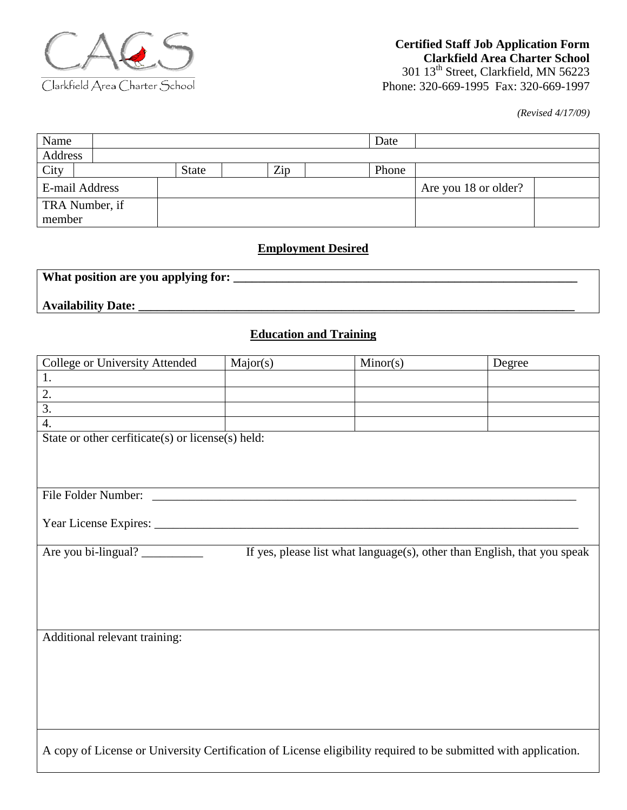

*(Revised 4/17/09)*

| Name           |       |     | Date  |                      |  |
|----------------|-------|-----|-------|----------------------|--|
| Address        |       |     |       |                      |  |
| City           | State | Zip | Phone |                      |  |
| E-mail Address |       |     |       | Are you 18 or older? |  |
| TRA Number, if |       |     |       |                      |  |
| member         |       |     |       |                      |  |

### **Employment Desired**

| What position are you applying for: |  |  |
|-------------------------------------|--|--|
| <b>Availability Date:</b>           |  |  |

# **Education and Training**

| College or University Attended                                                                                  | Major(s)                                                                                        | Minor(s) | Degree |  |
|-----------------------------------------------------------------------------------------------------------------|-------------------------------------------------------------------------------------------------|----------|--------|--|
| 1.                                                                                                              |                                                                                                 |          |        |  |
| 2.                                                                                                              |                                                                                                 |          |        |  |
| $\overline{3}$ .                                                                                                |                                                                                                 |          |        |  |
| 4.                                                                                                              |                                                                                                 |          |        |  |
| State or other cerfiticate(s) or license(s) held:                                                               |                                                                                                 |          |        |  |
|                                                                                                                 |                                                                                                 |          |        |  |
|                                                                                                                 |                                                                                                 |          |        |  |
|                                                                                                                 |                                                                                                 |          |        |  |
| File Folder Number:                                                                                             |                                                                                                 |          |        |  |
|                                                                                                                 |                                                                                                 |          |        |  |
|                                                                                                                 |                                                                                                 |          |        |  |
|                                                                                                                 |                                                                                                 |          |        |  |
|                                                                                                                 | Are you bi-lingual?<br>If yes, please list what language(s), other than English, that you speak |          |        |  |
|                                                                                                                 |                                                                                                 |          |        |  |
|                                                                                                                 |                                                                                                 |          |        |  |
|                                                                                                                 |                                                                                                 |          |        |  |
|                                                                                                                 |                                                                                                 |          |        |  |
|                                                                                                                 |                                                                                                 |          |        |  |
| Additional relevant training:                                                                                   |                                                                                                 |          |        |  |
|                                                                                                                 |                                                                                                 |          |        |  |
|                                                                                                                 |                                                                                                 |          |        |  |
|                                                                                                                 |                                                                                                 |          |        |  |
|                                                                                                                 |                                                                                                 |          |        |  |
|                                                                                                                 |                                                                                                 |          |        |  |
|                                                                                                                 |                                                                                                 |          |        |  |
| A copy of License or University Certification of License eligibility required to be submitted with application. |                                                                                                 |          |        |  |
|                                                                                                                 |                                                                                                 |          |        |  |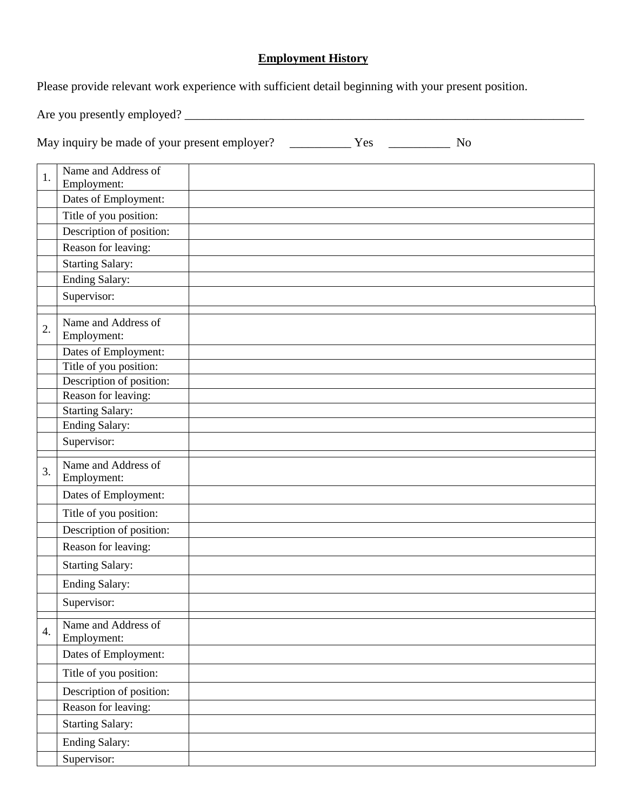## **Employment History**

Please provide relevant work experience with sufficient detail beginning with your present position.

Are you presently employed? \_\_\_\_\_\_\_\_\_\_\_\_\_\_\_\_\_\_\_\_\_\_\_\_\_\_\_\_\_\_\_\_\_\_\_\_\_\_\_\_\_\_\_\_\_\_\_\_\_\_\_\_\_\_\_\_\_\_\_\_\_\_\_\_\_

May inquiry be made of your present employer? \_\_\_\_\_\_\_\_\_\_ Yes \_\_\_\_\_\_\_\_\_\_ No

| 1. | Name and Address of                 |
|----|-------------------------------------|
|    | Employment:<br>Dates of Employment: |
|    |                                     |
|    | Title of you position:              |
|    | Description of position:            |
|    | Reason for leaving:                 |
|    | <b>Starting Salary:</b>             |
|    | Ending Salary:                      |
|    | Supervisor:                         |
| 2. | Name and Address of                 |
|    | Employment:                         |
|    | Dates of Employment:                |
|    | Title of you position:              |
|    | Description of position:            |
|    | Reason for leaving:                 |
|    | <b>Starting Salary:</b>             |
|    | <b>Ending Salary:</b>               |
|    | Supervisor:                         |
| 3. | Name and Address of<br>Employment:  |
|    | Dates of Employment:                |
|    | Title of you position:              |
|    | Description of position:            |
|    | Reason for leaving:                 |
|    | <b>Starting Salary:</b>             |
|    | <b>Ending Salary:</b>               |
|    | Supervisor:                         |
| 4. | Name and Address of<br>Employment:  |
|    | Dates of Employment:                |
|    | Title of you position:              |
|    | Description of position:            |
|    | Reason for leaving:                 |
|    | <b>Starting Salary:</b>             |
|    | <b>Ending Salary:</b>               |
|    | Supervisor:                         |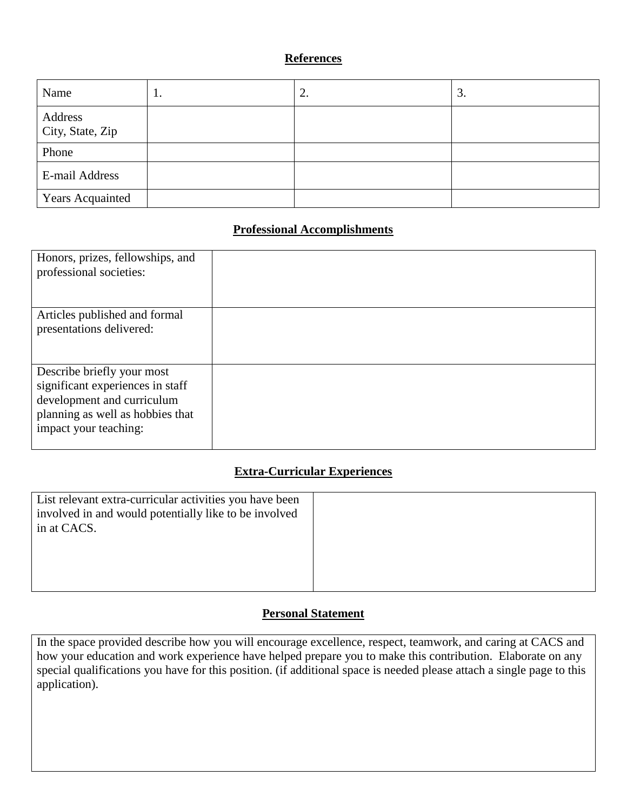### **References**

| Name                        | 1. | Ź. | 3. |
|-----------------------------|----|----|----|
| Address<br>City, State, Zip |    |    |    |
| Phone                       |    |    |    |
| E-mail Address              |    |    |    |
| <b>Years Acquainted</b>     |    |    |    |

### **Professional Accomplishments**

| Honors, prizes, fellowships, and<br>professional societies:                                                                                               |  |
|-----------------------------------------------------------------------------------------------------------------------------------------------------------|--|
| Articles published and formal<br>presentations delivered:                                                                                                 |  |
| Describe briefly your most<br>significant experiences in staff<br>development and curriculum<br>planning as well as hobbies that<br>impact your teaching: |  |

### **Extra-Curricular Experiences**

| List relevant extra-curricular activities you have been |  |
|---------------------------------------------------------|--|
| involved in and would potentially like to be involved   |  |
| in at CACS.                                             |  |
|                                                         |  |
|                                                         |  |
|                                                         |  |
|                                                         |  |

#### **Personal Statement**

In the space provided describe how you will encourage excellence, respect, teamwork, and caring at CACS and how your education and work experience have helped prepare you to make this contribution. Elaborate on any special qualifications you have for this position. (if additional space is needed please attach a single page to this application).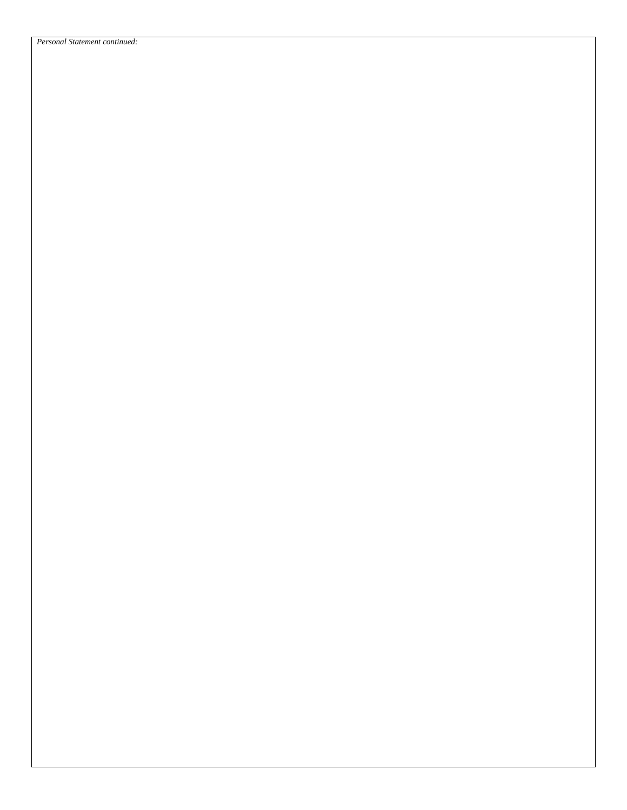*Personal Statement continued:*